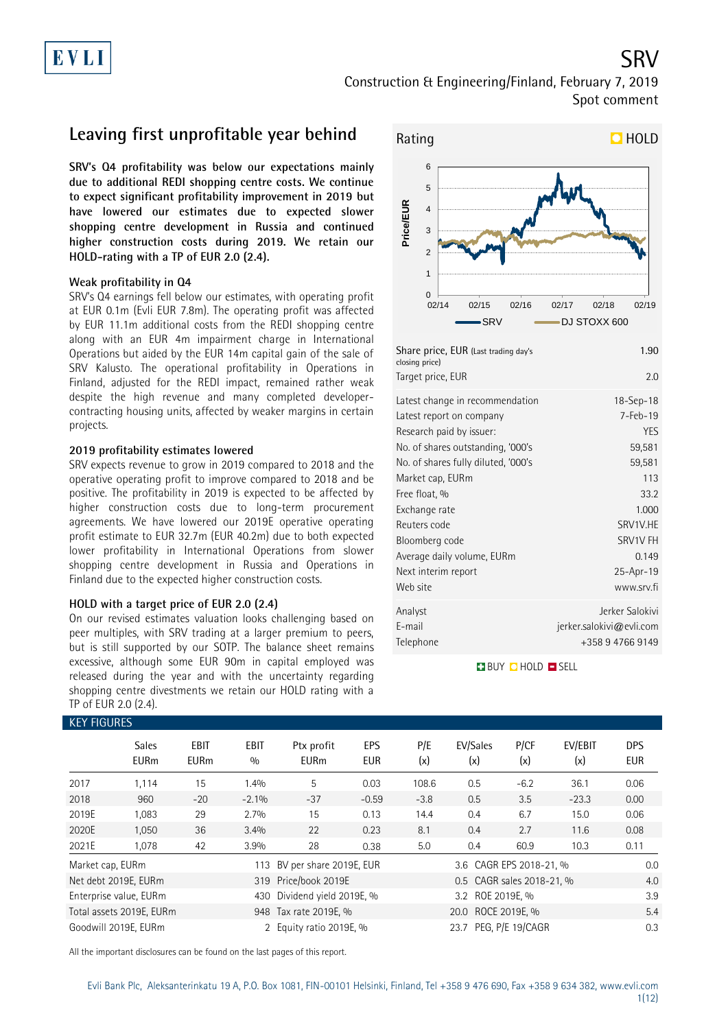### SRV Construction & Engineering/Finland, February 7, 2019 Spot comment

### **Leaving first unprofitable year behind**

**SRV's Q4 profitability was below our expectations mainly due to additional REDI shopping centre costs. We continue to expect significant profitability improvement in 2019 but have lowered our estimates due to expected slower shopping centre development in Russia and continued higher construction costs during 2019. We retain our HOLD-rating with a TP of EUR 2.0 (2.4).**

### **Weak profitability in Q4**

SRV's Q4 earnings fell below our estimates, with operating profit at EUR 0.1m (Evli EUR 7.8m). The operating profit was affected by EUR 11.1m additional costs from the REDI shopping centre along with an EUR 4m impairment charge in International Operations but aided by the EUR 14m capital gain of the sale of SRV Kalusto. The operational profitability in Operations in Finland, adjusted for the REDI impact, remained rather weak despite the high revenue and many completed developercontracting housing units, affected by weaker margins in certain projects.

### **2019 profitability estimates lowered**

SRV expects revenue to grow in 2019 compared to 2018 and the operative operating profit to improve compared to 2018 and be positive. The profitability in 2019 is expected to be affected by higher construction costs due to long-term procurement agreements. We have lowered our 2019E operative operating profit estimate to EUR 32.7m (EUR 40.2m) due to both expected lower profitability in International Operations from slower shopping centre development in Russia and Operations in Finland due to the expected higher construction costs.

### **HOLD with a target price of EUR 2.0 (2.4)**

On our revised estimates valuation looks challenging based on peer multiples, with SRV trading at a larger premium to peers, but is still supported by our SOTP. The balance sheet remains excessive, although some EUR 90m in capital employed was released during the year and with the uncertainty regarding shopping centre divestments we retain our HOLD rating with a TP of EUR 2.0 (2.4).



| 1.90<br>2.0              |
|--------------------------|
|                          |
| $18 - Sep - 18$          |
| 7-Feb-19                 |
| YES                      |
| 59,581                   |
| 59,581                   |
| 113                      |
| 33.2                     |
| 1.000                    |
| SRV1V.HE                 |
| SRV1V FH                 |
| 0.149                    |
| 25-Apr-19                |
| www.srv.fi               |
| Jerker Salokivi          |
| jerker.salokivi@evli.com |
| +358 9 4766 9149         |
|                          |

**BUY QHOLD SELL** 

| <b>KEY FIGURES</b> |                             |                     |                    |                           |                          |            |                           |             |                |                          |
|--------------------|-----------------------------|---------------------|--------------------|---------------------------|--------------------------|------------|---------------------------|-------------|----------------|--------------------------|
|                    | <b>Sales</b><br><b>EURm</b> | EBIT<br><b>EURm</b> | <b>EBIT</b><br>0/0 | Ptx profit<br><b>EURm</b> | <b>EPS</b><br><b>EUR</b> | P/E<br>(x) | EV/Sales<br>(x)           | P/CF<br>(x) | EV/EBIT<br>(x) | <b>DPS</b><br><b>EUR</b> |
| 2017               | 1,114                       | 15                  | 1.4%               | 5                         | 0.03                     | 108.6      | 0.5                       | $-6.2$      | 36.1           | 0.06                     |
| 2018               | 960                         | $-20$               | $-2.1\%$           | $-37$                     | $-0.59$                  | $-3.8$     | 0.5                       | 3.5         | $-23.3$        | 0.00                     |
| 2019E              | 1,083                       | 29                  | 2.7%               | 15                        | 0.13                     | 14.4       | 0.4                       | 6.7         | 15.0           | 0.06                     |
| 2020E              | 1,050                       | 36                  | 3.4%               | 22                        | 0.23                     | 8.1        | 0.4                       | 2.7         | 11.6           | 0.08                     |
| 2021E              | 1,078                       | 42                  | 3.9%               | 28                        | 0.38                     | 5.0        | 0.4                       | 60.9        | 10.3           | 0.11                     |
| Market cap, EURm   |                             |                     | 113                | BV per share 2019E, EUR   |                          |            | 3.6 CAGR EPS 2018-21, %   | 0.0         |                |                          |
|                    | Net debt 2019E, EURm        |                     |                    | 319 Price/book 2019E      |                          |            | 0.5 CAGR sales 2018-21, % |             |                | 4.0                      |
|                    | Enterprise value, EURm      |                     | 430                | Dividend yield 2019E, %   |                          |            | 3.2 ROE 2019E, %          |             |                | 3.9                      |
|                    | Total assets 2019E, EURm    |                     |                    | 948 Tax rate 2019E, %     |                          |            | 20.0 ROCE 2019E, %        |             |                |                          |
|                    | Goodwill 2019E. EURm        |                     |                    | 2 Equity ratio 2019E, %   |                          |            | 0.3                       |             |                |                          |

All the important disclosures can be found on the last pages of this report.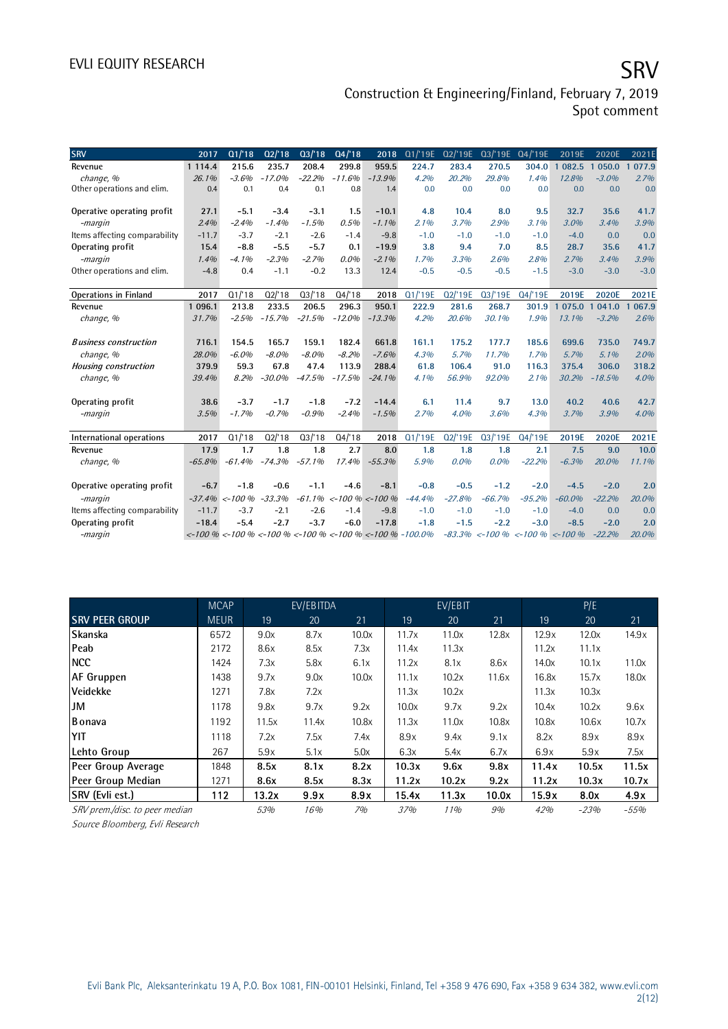# EVLI EQUITY RESEARCH SALL SOMETIME SAN SERVICE SERVICE SERVICE SERVICE SERVICE SERVICE SERVICE SERVICE SERVICE

### Construction & Engineering/Finland, February 7, 2019 Spot comment

| <b>SRV</b>                    | 2017       | Q1/18                                                                                                       | Q2/18    | Q3/18    | Q4/18    | 2018                      | Q1/'19E  | 02/'19E  | 03/19E                            | Q4/'19E  | 2019E                 | 2020E    | 2021E      |
|-------------------------------|------------|-------------------------------------------------------------------------------------------------------------|----------|----------|----------|---------------------------|----------|----------|-----------------------------------|----------|-----------------------|----------|------------|
| Revenue                       | 1 1 1 4 .4 | 215.6                                                                                                       | 235.7    | 208.4    | 299.8    | 959.5                     | 224.7    | 283.4    | 270.5                             | 304.0    | 082.5<br>$\mathbf{1}$ | 050.0    | 077.9      |
| change, %                     | 26.1%      | $-3.6%$                                                                                                     | $-17.0%$ | $-22.2%$ | $-11.6%$ | $-13.9%$                  | 4.2%     | 20.2%    | 29.8%                             | 1.4%     | 12.8%                 | $-3.0%$  | 2.7%       |
| Other operations and elim.    | 0.4        | 0.1                                                                                                         | 0.4      | 0.1      | 0.8      | 1.4                       | 0.0      | 0.0      | 0.0                               | 0.0      | 0.0                   | 0.0      | 0.0        |
|                               |            |                                                                                                             |          |          |          |                           |          |          |                                   |          |                       |          |            |
| Operative operating profit    | 27.1       | $-5.1$                                                                                                      | $-3.4$   | $-3.1$   | 1.5      | $-10.1$                   | 4.8      | 10.4     | 8.0                               | 9.5      | 32.7                  | 35.6     | 41.7       |
| -margin                       | 2.4%       | $-2.4%$                                                                                                     | $-1.4%$  | $-1.5%$  | 0.5%     | $-1.1\%$                  | 2.1%     | 3.7%     | 2.9%                              | 3.1%     | 3.0%                  | 3.4%     | 3.9%       |
| Items affecting comparability | $-11.7$    | $-3.7$                                                                                                      | $-2.1$   | $-2.6$   | $-1.4$   | $-9.8$                    | $-1.0$   | $-1.0$   | $-1.0$                            | $-1.0$   | $-4.0$                | 0.0      | 0.0        |
| Operating profit              | 15.4       | $-8.8$                                                                                                      | $-5.5$   | $-5.7$   | 0.1      | $-19.9$                   | 3.8      | 9.4      | 7.0                               | 8.5      | 28.7                  | 35.6     | 41.7       |
| -margin                       | 1.4%       | $-4.1%$                                                                                                     | $-2.3%$  | $-2.7%$  | 0.0%     | $-2.1%$                   | 1.7%     | 3.3%     | 2.6%                              | 2.8%     | 2.7%                  | 3.4%     | 3.9%       |
| Other operations and elim.    | $-4.8$     | 0.4                                                                                                         | $-1.1$   | $-0.2$   | 13.3     | 12.4                      | $-0.5$   | $-0.5$   | $-0.5$                            | $-1.5$   | $-3.0$                | $-3.0$   | $-3.0$     |
|                               |            |                                                                                                             |          |          |          |                           |          |          |                                   |          |                       |          |            |
| <b>Operations in Finland</b>  | 2017       | Q1/18                                                                                                       | Q2/18    | Q3/18    | Q4/18    | 2018                      | Q1/'19E  | Q2/'19E  | Q3/'19E                           | Q4/'19E  | 2019E                 | 2020E    | 2021E      |
| Revenue                       | 1 096.1    | 213.8                                                                                                       | 233.5    | 206.5    | 296.3    | 950.1                     | 222.9    | 281.6    | 268.7                             | 301.9    | 1 075.0               | 041.0    | 067.9<br>1 |
| change, %                     | 31.7%      | $-2.5%$                                                                                                     | $-15.7%$ | $-21.5%$ | $-12.0%$ | $-13.3%$                  | 4.2%     | 20.6%    | 30.1%                             | 1.9%     | 13.1%                 | $-3.2%$  | 2.6%       |
|                               |            |                                                                                                             |          |          |          |                           |          |          |                                   |          |                       |          |            |
| <b>Business construction</b>  | 716.1      | 154.5                                                                                                       | 165.7    | 159.1    | 182.4    | 661.8                     | 161.1    | 175.2    | 177.7                             | 185.6    | 699.6                 | 735.0    | 749.7      |
| change, %                     | 28.0%      | $-6.0%$                                                                                                     | $-8.0%$  | $-8.0%$  | $-8.2%$  | $-7.6%$                   | 4.3%     | 5.7%     | 11.7%                             | 1.7%     | 5.7%                  | 5.1%     | 2.0%       |
| <b>Housing construction</b>   | 379.9      | 59.3                                                                                                        | 67.8     | 47.4     | 113.9    | 288.4                     | 61.8     | 106.4    | 91.0                              | 116.3    | 375.4                 | 306.0    | 318.2      |
| change, %                     | 39.4%      | 8.2%                                                                                                        | $-30.0%$ | $-47.5%$ | $-17.5%$ | $-24.1%$                  | 4.1%     | 56.9%    | 92.0%                             | 2.1%     | 30.2%                 | $-18.5%$ | 4.0%       |
|                               |            |                                                                                                             |          |          |          |                           |          |          |                                   |          |                       |          |            |
| Operating profit              | 38.6       | $-3.7$                                                                                                      | $-1.7$   | $-1.8$   | $-7.2$   | $-14.4$                   | 6.1      | 11.4     | 9.7                               | 13.0     | 40.2                  | 40.6     | 42.7       |
| -margin                       | 3.5%       | $-1.7%$                                                                                                     | $-0.7%$  | $-0.9%$  | $-2.4%$  | $-1.5%$                   | 2.7%     | 4.0%     | 3.6%                              | 4.3%     | 3.7%                  | 3.9%     | 4.0%       |
|                               |            |                                                                                                             |          |          |          |                           |          |          |                                   |          |                       |          |            |
| International operations      | 2017       | Q1/18                                                                                                       | Q2/18    | Q3/18    | Q4/18    | 2018                      | Q1/'19E  | Q2/'19E  | Q3/'19E                           | Q4/'19E  | 2019E                 | 2020E    | 2021E      |
| Revenue                       | 17.9       | 1.7                                                                                                         | 1.8      | 1.8      | 2.7      | 8.0                       | 1.8      | 1.8      | 1.8                               | 2.1      | 7.5                   | 9.0      | 10.0       |
| change, %                     | $-65.8%$   | $-61.4%$                                                                                                    | $-74.3%$ | $-57.1%$ | 17.4%    | $-55.3%$                  | 5.9%     | $0.0\%$  | 0.0%                              | $-22.2%$ | $-6.3%$               | 20.0%    | 11.1%      |
|                               |            |                                                                                                             |          |          |          |                           |          |          |                                   |          |                       |          |            |
| Operative operating profit    | $-6.7$     | $-1.8$                                                                                                      | $-0.6$   | $-1.1$   | $-4.6$   | $-8.1$                    | $-0.8$   | $-0.5$   | $-1.2$                            | $-2.0$   | $-4.5$                | $-2.0$   | 2.0        |
| -margin                       | $-37.4%$   | $< -100%$                                                                                                   | $-33.3%$ | $-61.1%$ |          | $\lt$ -100 % $\lt$ -100 % | $-44.4%$ | $-27.8%$ | $-66.7%$                          | $-95.2%$ | $-60.0%$              | $-22.2%$ | 20.0%      |
| Items affecting comparability | $-11.7$    | $-3.7$                                                                                                      | $-2.1$   | $-2.6$   | $-1.4$   | $-9.8$                    | $-1.0$   | $-1.0$   | $-1.0$                            | $-1.0$   | $-4.0$                | 0.0      | 0.0        |
| Operating profit              | $-18.4$    | $-5.4$                                                                                                      | $-2.7$   | $-3.7$   | $-6.0$   | $-17.8$                   | $-1.8$   | $-1.5$   | $-2.2$                            | $-3.0$   | $-8.5$                | $-2.0$   | 2.0        |
| -margin                       |            | $\langle 100\% - 100\% - 100\% \rangle$ = $\langle 100\% - 100\% \rangle$ = $\langle 100\% - 100\% \rangle$ |          |          |          |                           |          |          | $-83.3\%$ <-100 % <-100 % <-100 % |          |                       | $-22.2%$ | 20.0%      |

|                                | <b>MCAP</b> |                 | EV/EBITDA |       |            | EV/EBIT |       |       | P/E    |        |
|--------------------------------|-------------|-----------------|-----------|-------|------------|---------|-------|-------|--------|--------|
| <b>SRV PEER GROUP</b>          | <b>MEUR</b> | $\overline{19}$ | 20        | 21    | 19         | 20      | 21    | 19    | 20     | 21     |
| Skanska                        | 6572        | 9.0x            | 8.7x      | 10.0x | 11.7x      | 11.0x   | 12.8x | 12.9x | 12.0x  | 14.9x  |
| Peab                           | 2172        | 8.6x            | 8.5x      | 7.3x  | 11.4x      | 11.3x   |       | 11.2x | 11.1x  |        |
| <b>NCC</b>                     | 1424        | 7.3x            | 5.8x      | 6.1x  | 11.2x      | 8.1x    | 8.6x  | 14.0x | 10.1x  | 11.0x  |
| <b>AF Gruppen</b>              | 1438        | 9.7x            | 9.0x      | 10.0x | 11.1x      | 10.2x   | 11.6x | 16.8x | 15.7x  | 18.0x  |
| <b>Veidekke</b>                | 1271        | 7.8x            | 7.2x      |       | 11.3x      | 10.2x   |       | 11.3x | 10.3x  |        |
| JM                             | 1178        | 9.8x            | 9.7x      | 9.2x  | 10.0x      | 9.7x    | 9.2x  | 10.4x | 10.2x  | 9.6x   |
| <b>B</b> onava                 | 1192        | 11.5x           | 11.4x     | 10.8x | 11.3x      | 11.0x   | 10.8x | 10.8x | 10.6x  | 10.7x  |
| YIT                            | 1118        | 7.2x            | 7.5x      | 7.4x  | 8.9x       | 9.4x    | 9.1x  | 8.2x  | 8.9x   | 8.9x   |
| Lehto Group                    | 267         | 5.9x            | 5.1x      | 5.0x  | 6.3x       | 5.4x    | 6.7x  | 6.9x  | 5.9x   | 7.5x   |
| Peer Group Average             | 1848        | 8.5x            | 8.1x      | 8.2x  | 10.3x      | 9.6x    | 9.8x  | 11.4x | 10.5x  | 11.5x  |
| Peer Group Median              | 1271        | 8.6x            | 8.5x      | 8.3x  | 11.2x      | 10.2x   | 9.2x  | 11.2x | 10.3x  | 10.7x  |
| SRV (Evli est.)                | 112         | 13.2x           | 9.9x      | 8.9x  | 15.4x      | 11.3x   | 10.0x | 15.9x | 8.0x   | 4.9x   |
| SRV prem./disc. to peer median |             | 53%             | 16%       | 7%    | <i>37%</i> | 11%     | 9%    | 42%   | $-23%$ | $-55%$ |

Source Bloomberg, Evli Research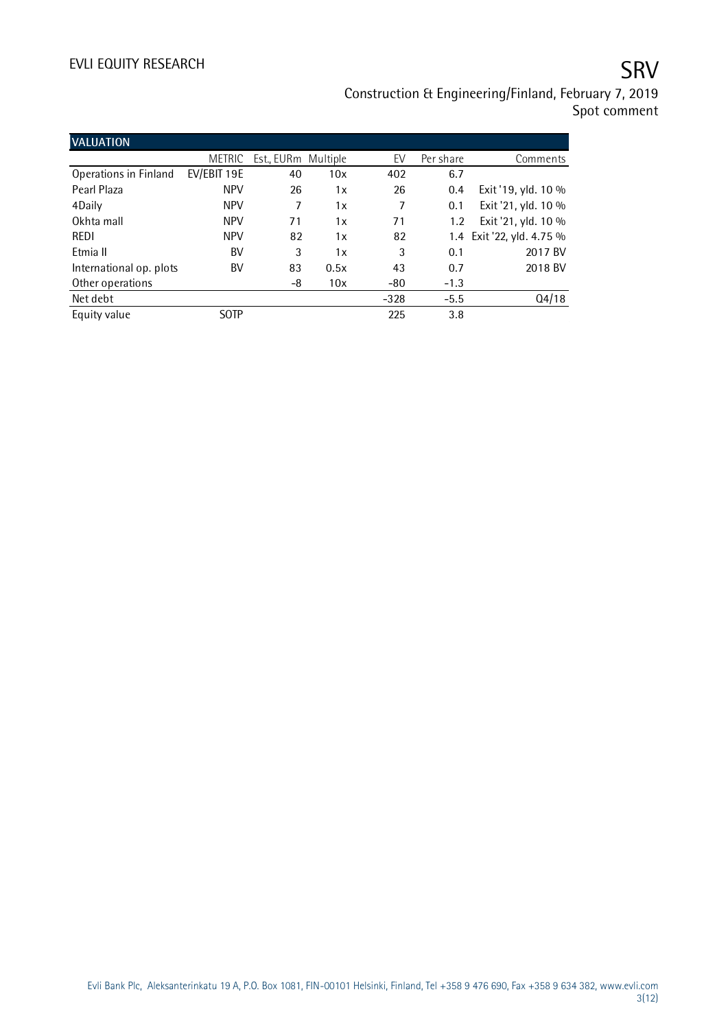# EVLI EQUITY RESEARCH SALL SOMETIME SAN SERVICE SERVICE SERVICE SERVICE SERVICE SERVICE SERVICE SERVICE SERVICE

## Construction & Engineering/Finland, February 7, 2019 Spot comment

| <b>VALUATION</b>        |               |                     |      |        |           |                           |
|-------------------------|---------------|---------------------|------|--------|-----------|---------------------------|
|                         | <b>METRIC</b> | Est., EURm Multiple |      | EV     | Per share | Comments                  |
| Operations in Finland   | EV/EBIT 19E   | 40                  | 10x  | 402    | 6.7       |                           |
| Pearl Plaza             | <b>NPV</b>    | 26                  | 1x   | 26     | 0.4       | Exit '19, yld. 10 %       |
| 4Daily                  | <b>NPV</b>    | 7                   | 1x   | 7      | 0.1       | Exit '21, yld. 10 %       |
| Okhta mall              | <b>NPV</b>    | 71                  | 1x   | 71     | 1.2       | Exit '21, yld. 10 %       |
| <b>REDI</b>             | <b>NPV</b>    | 82                  | 1x   | 82     |           | 1.4 Exit '22, yld. 4.75 % |
| Etmia II                | BV            | 3                   | 1x   | 3      | 0.1       | 2017 BV                   |
| International op. plots | BV            | 83                  | 0.5x | 43     | 0.7       | 2018 BV                   |
| Other operations        |               | -8                  | 10x  | -80    | $-1.3$    |                           |
| Net debt                |               |                     |      | $-328$ | $-5.5$    | Q4/18                     |
| Equity value            | <b>SOTP</b>   |                     |      | 225    | 3.8       |                           |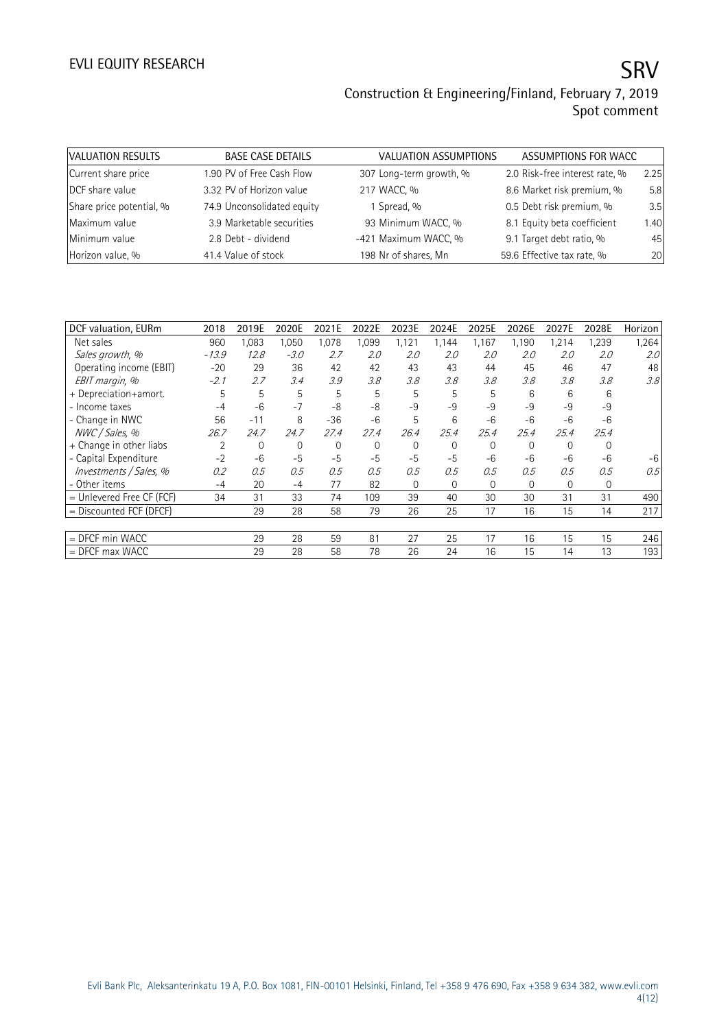| VALUATION RESULTS        | <b>BASE CASE DETAILS</b>   | <b>VALUATION ASSUMPTIONS</b> | ASSUMPTIONS FOR WACC           |      |
|--------------------------|----------------------------|------------------------------|--------------------------------|------|
| Current share price      | 1.90 PV of Free Cash Flow  | 307 Long-term growth, %      | 2.0 Risk-free interest rate, % | 2.25 |
| DCF share value          | 3.32 PV of Horizon value   | 217 WACC, %                  | 8.6 Market risk premium, %     | 5.8  |
| Share price potential, % | 74.9 Unconsolidated equity | 1 Spread, %                  | 0.5 Debt risk premium, %       | 3.5  |
| Maximum value            | 3.9 Marketable securities  | 93 Minimum WACC, %           | 8.1 Equity beta coefficient    | 1.40 |
| Minimum value            | 2.8 Debt - dividend        | -421 Maximum WACC, %         | 9.1 Target debt ratio, %       | 45   |
| Horizon value, %         | 41.4 Value of stock        | 198 Nr of shares, Mn         | 59.6 Effective tax rate, %     | 20   |

| DCF valuation, EURm         | 2018    | 2019E | 2020E          | 2021E | 2022E          | 2023E    | 2024E        | 2025E    | 2026E       | 2027E    | 2028E | Horizon          |
|-----------------------------|---------|-------|----------------|-------|----------------|----------|--------------|----------|-------------|----------|-------|------------------|
| Net sales                   | 960     | 1,083 | 1,050          | 1,078 | 1,099          | 1,121    | 1.144        | 1,167    | 1,190       | 1,214    | 1,239 | 1,264            |
| Sales growth, %             | $-13.9$ | 12.8  | $-3.0$         | 2.7   | 2.0            | 2.0      | 2.0          | 2.0      | 2.0         | 2.0      | 2.0   | 2.0 <sup>°</sup> |
| Operating income (EBIT)     | $-20$   | 29    | 36             | 42    | 42             | 43       | 43           | 44       | 45          | 46       | 47    | 48               |
| EBIT margin, %              | $-2.1$  | 2.7   | 3.4            | 3.9   | 3.8            | 3.8      | 3.8          | 3.8      | 3.8         | 3.8      | 3.8   | 3.8              |
| + Depreciation+amort.       | 5       | 5     | 5              | 5     | 5              | 5        | 5            | 5        | 6           | 6        | 6     |                  |
| - Income taxes              | $-4$    | $-6$  | $-7$           | -8    | $-8$           | $-9$     | $-9$         | $-9$     | $-9$        | $-9$     | $-9$  |                  |
| - Change in NWC             | 56      | $-11$ | 8              | $-36$ | $-6$           | 5        | 6            | $-6$     | $-6$        | $-6$     | $-6$  |                  |
| NWC / Sales, %              | 26.7    | 24.7  | 24.7           | 27.4  | 27.4           | 26.4     | 25.4         | 25.4     | 25.4        | 25.4     | 25.4  |                  |
| + Change in other liabs     | 2       | 0     | $\overline{0}$ | 0     | $\overline{0}$ | $\Omega$ | $\mathbf{0}$ | 0        | $\Omega$    | $\Omega$ | 0     |                  |
| - Capital Expenditure       | $-2$    | $-6$  | $-5$           | $-5$  | $-5$           | $-5$     | $-5$         | $-6$     | $-6$        | $-6$     | $-6$  | -6               |
| Investments / Sales, %      | 0.2     | 0.5   | 0.5            | 0.5   | 0.5            | 0.5      | 0.5          | 0.5      | 0.5         | 0.5      | 0.5   | 0.5              |
| - Other items               | $-4$    | 20    | -4             | 77    | 82             | $\Omega$ | $\mathbf{0}$ | $\Omega$ | $\mathbf 0$ | 0        | 0     |                  |
| $=$ Unlevered Free CF (FCF) | 34      | 31    | 33             | 74    | 109            | 39       | 40           | 30       | 30          | 31       | 31    | 490              |
| $=$ Discounted FCF (DFCF)   |         | 29    | 28             | 58    | 79             | 26       | 25           | 17       | 16          | 15       | 14    | 217              |
|                             |         |       |                |       |                |          |              |          |             |          |       |                  |
| $=$ DFCF min WACC           |         | 29    | 28             | 59    | 81             | 27       | 25           | 17       | 16          | 15       | 15    | 246              |
| $=$ DFCF max WACC           |         | 29    | 28             | 58    | 78             | 26       | 24           | 16       | 15          | 14       | 13    | 193              |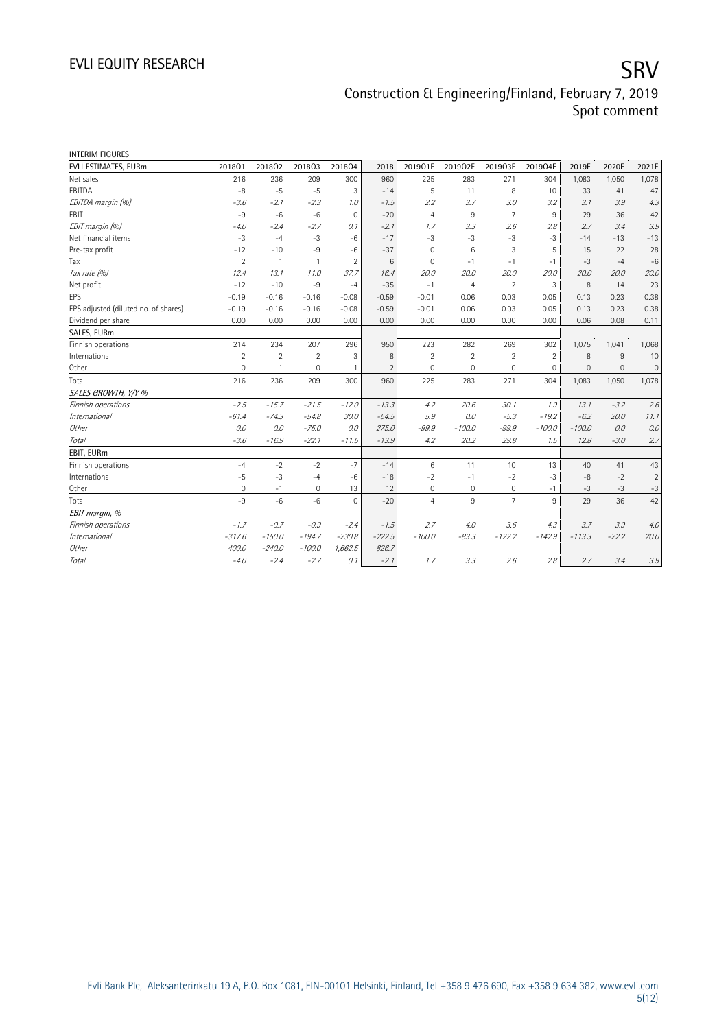| <b>INTERIM FIGURES</b>               |                |                |                |                |                |                |                     |                |                |          |          |                           |
|--------------------------------------|----------------|----------------|----------------|----------------|----------------|----------------|---------------------|----------------|----------------|----------|----------|---------------------------|
| EVLI ESTIMATES, EURm                 | 201801         | 201802         | 201803         | 201804         | 2018           | 2019Q1E        | 2019Q2E             | 2019Q3E        | 2019Q4E        | 2019E    | 2020E    | 2021E                     |
| Net sales                            | 216            | 236            | 209            | 300            | 960            | 225            | 283                 | 271            | 304            | 1,083    | 1,050    | 1,078                     |
| EBITDA                               | $-8$           | $-5$           | $-5$           | 3              | $-14$          | 5              | 11                  | 8              | 10             | 33       | 41       | 47                        |
| EBITDA margin (%)                    | $-3.6$         | $-2.1$         | $-2.3$         | 1.0            | $-1.5$         | 2.2            | 3.7                 | 3.0            | 3.2            | 3.1      | 3.9      | 4.3                       |
| EBIT                                 | $-9$           | $-6$           | $-6$           | $\mathbf 0$    | $-20$          | $\overline{4}$ | 9                   | $\overline{7}$ | 9              | 29       | 36       | 42                        |
| EBIT margin (%)                      | $-4.0$         | $-2.4$         | $-2.7$         | 0.1            | $-2.1$         | 1.7            | 3.3                 | 2.6            | 2.8            | 2.7      | 3.4      | 3.9                       |
| Net financial items                  | $-3$           | $-4$           | $-3$           | $-6$           | $-17$          | $-3$           | $-3$                | $-3$           | $-3$           | $-14$    | $-13$    | $-13$                     |
| Pre-tax profit                       | $-12$          | $-10$          | $-9$           | $-6$           | $-37$          | $\mathbf{0}$   | 6                   | 3              | 5              | 15       | 22       | 28                        |
| Tax                                  | $\overline{2}$ | $\overline{1}$ | $\mathbf{1}$   | $\overline{2}$ | 6              | $\mathbf{0}$   | $-1$                | $-1$           | $-1$           | $-3$     | $-4$     | $-6$                      |
| Tax rate (%)                         | 12.4           | 13.1           | 11.0           | 37.7           | 16.4           | 20.0           | 20.0                | 20.0           | 20.0           | 20.0     | 20.0     | 20.0                      |
| Net profit                           | $-12$          | $-10$          | $-9$           | $-4$           | $-35$          | $-1$           | $\overline{4}$      | $\overline{2}$ | 3              | 8        | 14       | 23                        |
| EPS                                  | $-0.19$        | $-0.16$        | $-0.16$        | $-0.08$        | $-0.59$        | $-0.01$        | 0.06                | 0.03           | 0.05           | 0.13     | 0.23     | 0.38                      |
| EPS adjusted (diluted no. of shares) | $-0.19$        | $-0.16$        | $-0.16$        | $-0.08$        | $-0.59$        | $-0.01$        | 0.06                | 0.03           | 0.05           | 0.13     | 0.23     | 0.38                      |
| Dividend per share                   | 0.00           | 0.00           | 0.00           | 0.00           | 0.00           | 0.00           | 0.00                | 0.00           | 0.00           | 0.06     | 0.08     | 0.11                      |
| SALES, EURm                          |                |                |                |                |                |                |                     |                |                |          |          |                           |
| Finnish operations                   | 214            | 234            | 207            | 296            | 950            | 223            | 282                 | 269            | 302            | 1,075    | 1,041    | 1,068                     |
| International                        | $\overline{2}$ | $\overline{2}$ | $\overline{2}$ | 3              | 8              | $\overline{2}$ | $\overline{2}$      | $\overline{2}$ | $\overline{2}$ | 8        | 9        | 10                        |
| Other                                | $\mathbf 0$    | $\mathbf{1}$   | $\overline{0}$ | $\overline{1}$ | $\overline{2}$ | $\Omega$       | $\Omega$            | $\mathbf 0$    | $\mathbf 0$    | $\Omega$ | $\Omega$ | $\mathsf{O}\xspace$       |
| Total                                | 216            | 236            | 209            | 300            | 960            | 225            | 283                 | 271            | 304            | 1,083    | 1,050    | 1,078                     |
| SALES GROWTH, Y/Y %                  |                |                |                |                |                |                |                     |                |                |          |          |                           |
| Finnish operations                   | $-2.5$         | $-15.7$        | $-21.5$        | $-12.0$        | $-13.3$        | 4.2            | 20.6                | 30.1           | 1.9            | 13.1     | $-3.2$   | 2.6                       |
| <i>International</i>                 | $-61.4$        | $-74.3$        | $-54.8$        | 30.0           | $-54.5$        | 5.9            | 0.0                 | $-5.3$         | $-19.2$        | $-6.2$   | 20.0     | 11.1                      |
| Other                                | 0.0            | 0.0            | $-75.0$        | 0.0            | 275.0          | $-99.9$        | $-100.0$            | $-99.9$        | $-100.0$       | $-100.0$ | 0.0      | 0.0                       |
| Total                                | $-3.6$         | $-16.9$        | $-22.1$        | $-11.5$        | $-13.9$        | 4.2            | 20.2                | 29.8           | 1.5            | 12.8     | $-3.0$   | 2.7                       |
| EBIT, EURm                           |                |                |                |                |                |                |                     |                |                |          |          |                           |
| Finnish operations                   | $-4$           | $-2$           | $-2$           | $-7$           | $-14$          | 6              | 11                  | 10             | 13             | 40       | 41       | 43                        |
| International                        | $-5$           | $-3$           | $-4$           | $-6$           | $-18$          | $-2$           | $-1$                | $-2$           | $-3$           | $-8$     | $-2$     | $\overline{2}$            |
| Other                                | 0              | $-1$           | 0              | 13             | 12             | $\mathbf 0$    | $\mathsf{O}\xspace$ | 0              | $-1$           | $-3$     | $-3$     | $-3$                      |
| Total                                | $-9$           | $-6$           | $-6$           | $\mathbf{0}$   | $-20$          | $\overline{4}$ | 9                   | $\overline{7}$ | 9              | 29       | 36       | 42                        |
| EBIT margin, %                       |                |                |                |                |                |                |                     |                |                |          |          |                           |
| Finnish operations                   | $-1.7$         | $-0.7$         | $-0.9$         | $-2.4$         | $-1.5$         | 2.7            | 4.0                 | 3.6            | 4.3            | 3.7      | 3.9      | 4.0                       |
| <i>International</i>                 | $-317.6$       | $-150.0$       | $-194.7$       | $-230.8$       | $-222.5$       | $-100.0$       | $-83.3$             | $-122.2$       | $-142.9$       | $-113.3$ | $-22.2$  | 20.0                      |
| Other                                | 400.0          | $-240.0$       | $-100.0$       | 1,662.5        | 826.7          |                |                     |                |                |          |          |                           |
| Total                                | $-4.0$         | $-2.4$         | $-2.7$         | 0.1            | $-2.1$         | 1.7            | 3.3                 | 2.6            | 2.8            | 2.7      | 3.4      | $\mathcal{Z} \mathcal{Q}$ |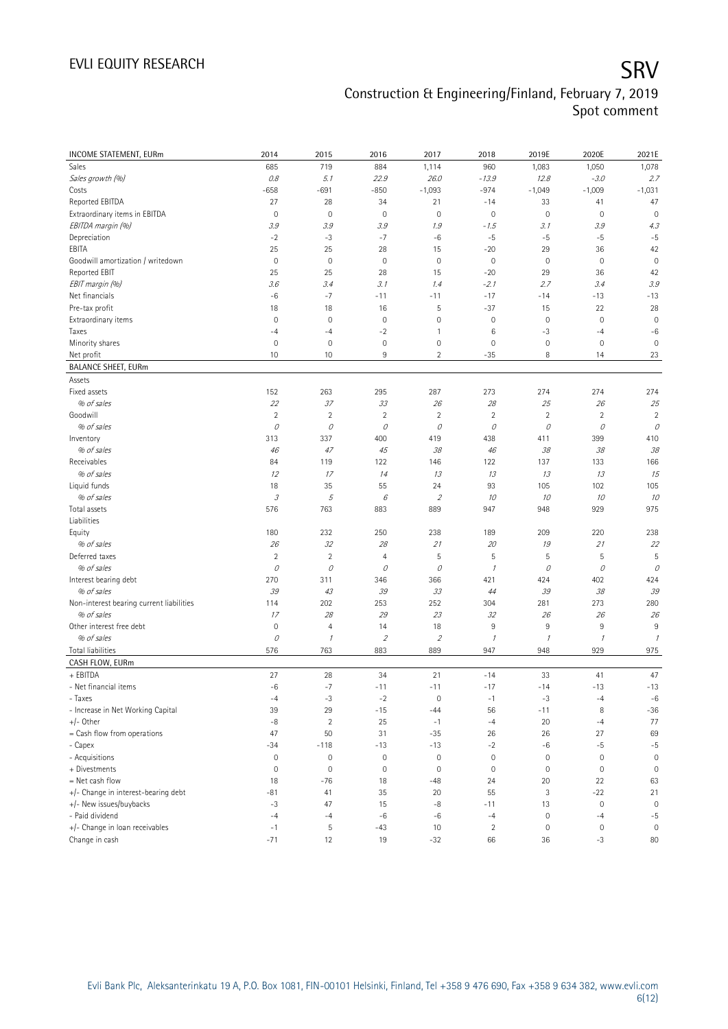| INCOME STATEMENT, EURm                   | 2014                                                                                                                                                                                                                                                                                                                                                                                                                                                      | 2015                | 2016                     | 2017                        | 2018             | 2019E               | 2020E               | 2021E               |
|------------------------------------------|-----------------------------------------------------------------------------------------------------------------------------------------------------------------------------------------------------------------------------------------------------------------------------------------------------------------------------------------------------------------------------------------------------------------------------------------------------------|---------------------|--------------------------|-----------------------------|------------------|---------------------|---------------------|---------------------|
| Sales                                    | 685                                                                                                                                                                                                                                                                                                                                                                                                                                                       | 719                 | 884                      | 1,114                       | 960              | 1,083               | 1,050               | 1,078               |
| Sales growth (%)                         | $0.8\,$                                                                                                                                                                                                                                                                                                                                                                                                                                                   | 5.1                 | 22.9                     | 26.0                        | $-13.9$          | 12.8                | $-3.0$              | 2.7                 |
| Costs                                    | $-658$                                                                                                                                                                                                                                                                                                                                                                                                                                                    | $-691$              | $-850$                   | $-1,093$                    | $-974$           | $-1,049$            | $-1,009$            | $-1,031$            |
| Reported EBITDA                          | 27                                                                                                                                                                                                                                                                                                                                                                                                                                                        | 28                  | 34                       | 21                          | $-14$            | 33                  | 41                  | 47                  |
| Extraordinary items in EBITDA            | $\overline{0}$                                                                                                                                                                                                                                                                                                                                                                                                                                            | $\mathbf 0$         | $\mathbf 0$              | $\circ$                     | $\mathbf 0$      | $\mathsf{O}\xspace$ | $\mathbf 0$         | $\mathbf 0$         |
| EBITDA margin (%)                        | 3.9                                                                                                                                                                                                                                                                                                                                                                                                                                                       | 3.9                 | 3.9                      | 1.9                         | $-1.5$           | 3.1                 | 3.9                 | 4.3                 |
| Depreciation                             | $-2$                                                                                                                                                                                                                                                                                                                                                                                                                                                      | $-3$                | $-7$                     | $-6$                        | $-5$             | $-5$                | $-5$                | $-5$                |
| EBITA                                    | 25                                                                                                                                                                                                                                                                                                                                                                                                                                                        | 25                  | 28                       | 15                          | $-20$            | 29                  | 36                  | 42                  |
| Goodwill amortization / writedown        | $\mathbf 0$                                                                                                                                                                                                                                                                                                                                                                                                                                               | $\mathbf 0$         | $\mathbf 0$              | $\circ$                     | $\mathbb O$      | $\mathbb O$         | $\mathbf 0$         | $\mathbf 0$         |
| Reported EBIT                            | 25                                                                                                                                                                                                                                                                                                                                                                                                                                                        | 25                  | 28                       | 15                          | $-20$            | 29                  | 36                  | 42                  |
| EBIT margin (%)                          | 3.6                                                                                                                                                                                                                                                                                                                                                                                                                                                       | 3.4                 | 3.1                      | 1.4                         | $-2.1$           | 2.7                 | 3.4                 | 3.9                 |
| Net financials                           | $-6$                                                                                                                                                                                                                                                                                                                                                                                                                                                      | $-7$                | $-11$                    | $-11$                       | $-17$            | $-14$               | $-13$               | $-13$               |
| Pre-tax profit                           | 18                                                                                                                                                                                                                                                                                                                                                                                                                                                        | 18                  | 16                       | 5                           | $-37$            | 15                  | 22                  | 28                  |
| Extraordinary items                      | $\mathbf 0$                                                                                                                                                                                                                                                                                                                                                                                                                                               | $\mathbf 0$         | $\mathbf 0$              | $\mathbf 0$                 | $\mathbf 0$      | $\mathbb O$         | $\mathbf 0$         | $\mathbf 0$         |
| Taxes                                    | $-4$                                                                                                                                                                                                                                                                                                                                                                                                                                                      | $-4$                | $-2$                     | 1                           | 6                | -3                  | $-4$                | $-6$                |
| Minority shares                          | $\mathbf 0$                                                                                                                                                                                                                                                                                                                                                                                                                                               | $\mathbf 0$         | $\mathbf 0$              | $\mathsf{O}\xspace$         | $\mathbf 0$      | $\mathsf{O}\xspace$ | $\mathbf 0$         | $\overline{0}$      |
| Net profit                               | 10                                                                                                                                                                                                                                                                                                                                                                                                                                                        | 10                  | 9                        | $\overline{2}$              | $-35$            | 8                   | 14                  | 23                  |
| <b>BALANCE SHEET, EURm</b>               |                                                                                                                                                                                                                                                                                                                                                                                                                                                           |                     |                          |                             |                  |                     |                     |                     |
| Assets                                   |                                                                                                                                                                                                                                                                                                                                                                                                                                                           |                     |                          |                             |                  |                     |                     |                     |
| Fixed assets                             | 152                                                                                                                                                                                                                                                                                                                                                                                                                                                       | 263                 | 295                      | 287                         | 273              | 274                 | 274                 | 274                 |
| % of sales                               | 22                                                                                                                                                                                                                                                                                                                                                                                                                                                        | 37                  | 33                       | 26                          | 28               | 25                  | 26                  | 25                  |
| Goodwill                                 | $\sqrt{2}$                                                                                                                                                                                                                                                                                                                                                                                                                                                | $\overline{2}$      | $\overline{2}$           | $\overline{c}$              | $\sqrt{2}$       | $\sqrt{2}$          | $\overline{c}$      | $\overline{2}$      |
| % of sales                               | 0                                                                                                                                                                                                                                                                                                                                                                                                                                                         | $\mathcal O$        | 0                        | 0                           | 0                | 0                   | 0                   | 0                   |
| Inventory                                | 313                                                                                                                                                                                                                                                                                                                                                                                                                                                       | 337                 | 400                      | 419                         | 438              | 411                 | 399                 | 410                 |
| % of sales                               | 46                                                                                                                                                                                                                                                                                                                                                                                                                                                        | 47                  | 45                       | 38                          | 46               | 38                  | 38                  | 38                  |
| Receivables                              | 84                                                                                                                                                                                                                                                                                                                                                                                                                                                        | 119                 | 122                      | 146                         | 122              | 137                 | 133                 | 166                 |
| % of sales                               | 12                                                                                                                                                                                                                                                                                                                                                                                                                                                        | 17                  | 14                       | 13                          | 13               | 13                  | 13                  | 15                  |
| Liquid funds                             | 18                                                                                                                                                                                                                                                                                                                                                                                                                                                        | 35                  | 55                       | 24                          | 93               | 105                 | 102                 | 105                 |
| % of sales                               | $\mathcal{I}% _{G}=\mathcal{I}_{G}=\mathcal{I}_{G}=\mathcal{I}_{G}=\mathcal{I}_{G}=\mathcal{I}_{G}=\mathcal{I}_{G}=\mathcal{I}_{G}=\mathcal{I}_{G}=\mathcal{I}_{G}=\mathcal{I}_{G}=\mathcal{I}_{G}=\mathcal{I}_{G}=\mathcal{I}_{G}=\mathcal{I}_{G}=\mathcal{I}_{G}=\mathcal{I}_{G}=\mathcal{I}_{G}=\mathcal{I}_{G}=\mathcal{I}_{G}=\mathcal{I}_{G}=\mathcal{I}_{G}=\mathcal{I}_{G}=\mathcal{I}_{G}=\mathcal{I}_{G}=\mathcal{I}_{G}=\mathcal{I}_{G}=\math$ | 5                   | 6                        | $\mathcal{L}_{\mathcal{L}}$ | 10               | 10                  | 10                  | 10                  |
| Total assets                             | 576                                                                                                                                                                                                                                                                                                                                                                                                                                                       | 763                 | 883                      | 889                         | 947              | 948                 | 929                 | 975                 |
| Liabilities                              |                                                                                                                                                                                                                                                                                                                                                                                                                                                           |                     |                          |                             |                  |                     |                     |                     |
| Equity                                   | 180                                                                                                                                                                                                                                                                                                                                                                                                                                                       | 232                 | 250                      | 238                         | 189              | 209                 | 220                 | 238                 |
| % of sales                               | 26                                                                                                                                                                                                                                                                                                                                                                                                                                                        | 32                  | 28                       | 21                          | 20               | 19                  | 21                  | 22                  |
| Deferred taxes                           | $\overline{2}$                                                                                                                                                                                                                                                                                                                                                                                                                                            | $\overline{2}$      | $\overline{4}$           | 5                           | 5                | 5                   | 5                   | 5                   |
| % of sales                               | 0                                                                                                                                                                                                                                                                                                                                                                                                                                                         | 0                   | 0                        | 0                           | $\mathcal I$     | 0                   | 0                   | 0                   |
| Interest bearing debt                    | 270                                                                                                                                                                                                                                                                                                                                                                                                                                                       | 311                 | 346                      | 366                         | 421              | 424                 | 402                 | 424                 |
| % of sales                               | 39                                                                                                                                                                                                                                                                                                                                                                                                                                                        | 43                  | 39                       | 33                          | 44               | 39                  | 38                  | 39                  |
| Non-interest bearing current liabilities | 114                                                                                                                                                                                                                                                                                                                                                                                                                                                       | 202                 | 253                      | 252                         | 304              | 281                 | 273                 | 280                 |
| % of sales                               | 17                                                                                                                                                                                                                                                                                                                                                                                                                                                        | 28                  | 29                       | 23                          | 32               | 26                  | 26                  | 26                  |
| Other interest free debt                 | $\mathbf 0$                                                                                                                                                                                                                                                                                                                                                                                                                                               | $\overline{4}$      | 14                       | 18                          | 9                | 9                   | $9\,$               | 9                   |
| % of sales                               | 0                                                                                                                                                                                                                                                                                                                                                                                                                                                         | $\cal I$            | $\overline{\mathcal{L}}$ | $\mathcal{L}_{\mathcal{L}}$ | $\mathcal I$     | $\mathcal I$        | $\mathcal{I}$       | $\mathcal{I}$       |
| <b>Total liabilities</b>                 | 576                                                                                                                                                                                                                                                                                                                                                                                                                                                       | 763                 | 883                      | 889                         | 947              | 948                 | 929                 | 975                 |
| CASH FLOW, EURm                          |                                                                                                                                                                                                                                                                                                                                                                                                                                                           |                     |                          |                             |                  |                     |                     |                     |
| + EBITDA                                 | 27                                                                                                                                                                                                                                                                                                                                                                                                                                                        | 28                  | 34                       | 21                          | $-14$            | 33                  | 41                  | 47                  |
| - Net financial items                    | $-6$                                                                                                                                                                                                                                                                                                                                                                                                                                                      | $-7$                | $-11$                    | $-11$                       | $-17$            | $-14$               | $-13$               | $-13$               |
| - Taxes                                  | $-4$                                                                                                                                                                                                                                                                                                                                                                                                                                                      | $-3$                | $^{\rm -2}$              | $\mathbf 0$                 | $-1$             | $-3$                | $-4$                | $-6$                |
| - Increase in Net Working Capital        | 39                                                                                                                                                                                                                                                                                                                                                                                                                                                        | 29                  | $-15$                    | $-44$                       | 56               | $-11$               | 8                   | $-36$               |
| $+/-$ Other                              | -8                                                                                                                                                                                                                                                                                                                                                                                                                                                        | $\overline{2}$      | 25                       | $-1$                        | $-4$             | 20                  | $-4$                | 77                  |
| = Cash flow from operations              | 47                                                                                                                                                                                                                                                                                                                                                                                                                                                        | 50                  | 31                       | $-35$                       | 26               | 26                  | 27                  | 69                  |
| - Capex                                  | $-34$                                                                                                                                                                                                                                                                                                                                                                                                                                                     | $-118$              | $-13$                    | $-13$                       | $-2$             | -6                  | $-5$                | $-5$                |
| - Acquisitions                           | $\mathbb O$                                                                                                                                                                                                                                                                                                                                                                                                                                               | $\mathsf{O}\xspace$ | $\mathsf{O}\xspace$      | $\mathbb O$                 | $\mathbf 0$      | $\mathbb O$         | $\mathbf 0$         | $\mathbf 0$         |
| + Divestments                            | $\mathbf 0$                                                                                                                                                                                                                                                                                                                                                                                                                                               | $\mathsf{O}\xspace$ | $\mathsf{O}\xspace$      | $\circ$                     | $\boldsymbol{0}$ | $\mathbb O$         | $\bf 0$             | $\mathsf{O}\xspace$ |
| = Net cash flow                          | 18                                                                                                                                                                                                                                                                                                                                                                                                                                                        | $-76$               | 18                       | $-48$                       | 24               | 20                  | 22                  | 63                  |
| +/- Change in interest-bearing debt      | $-81$                                                                                                                                                                                                                                                                                                                                                                                                                                                     | 41                  | 35                       | 20                          | 55               | 3                   | $-22$               | 21                  |
| +/- New issues/buybacks                  | $-3$                                                                                                                                                                                                                                                                                                                                                                                                                                                      | 47                  | 15                       | $-8$                        | $-11$            | 13                  | $\mathbf 0$         | $\mathbf 0$         |
| - Paid dividend                          | $-4$                                                                                                                                                                                                                                                                                                                                                                                                                                                      | $-4$                | -6                       | $-6$                        | $-4$             | $\mathbb O$         | $-4$                | $-5$                |
| +/- Change in loan receivables           | $-1$                                                                                                                                                                                                                                                                                                                                                                                                                                                      | 5                   | $-43$                    | 10                          | $\overline{2}$   | $\mathbb O$         | $\mathsf{O}\xspace$ | $\mathbb O$         |
| Change in cash                           | $-71$                                                                                                                                                                                                                                                                                                                                                                                                                                                     | 12                  | 19                       | $-32$                       | 66               | 36                  | $-3$                | 80                  |
|                                          |                                                                                                                                                                                                                                                                                                                                                                                                                                                           |                     |                          |                             |                  |                     |                     |                     |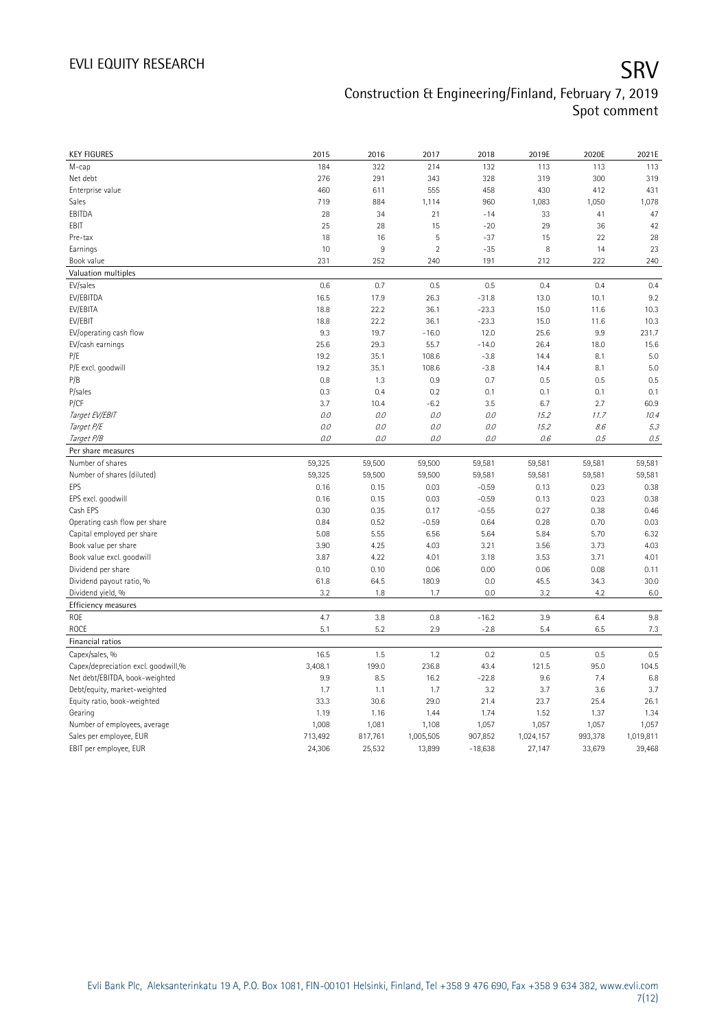| <b>KEY FIGURES</b>                                | 2015             | 2016             | 2017             | 2018             | 2019E            | 2020E            | 2021E            |
|---------------------------------------------------|------------------|------------------|------------------|------------------|------------------|------------------|------------------|
| M-cap                                             | 184              | 322              | 214              | 132              | 113              | 113              | 113              |
| Net debt                                          | 276              | 291              | 343              | 328              | 319              | 300              | 319              |
| Enterprise value                                  | 460              | 611              | 555              | 458              | 430              | 412              | 431              |
| Sales                                             | 719              | 884              | 1,114            | 960              | 1,083            | 1,050            | 1,078            |
| EBITDA                                            | 28               | 34               | 21               | $-14$            | 33               | 41               | 47               |
| EBIT                                              | 25               | 28               | 15               | $-20$            | 29               | 36               | 42               |
| Pre-tax                                           | 18               | 16               | 5                | $-37$            | 15               | 22               | 28               |
| Earnings                                          | 10               | 9                | $\overline{2}$   | $-35$            | 8                | 14               | 23               |
| Book value                                        | 231              | 252              | 240              | 191              | 212              | 222              | 240              |
| Valuation multiples                               |                  |                  |                  |                  |                  |                  |                  |
| EV/sales                                          | 0.6              | 0.7              | 0.5              | 0.5              | 0.4              | 0.4              | 0.4              |
| EV/EBITDA                                         | 16.5             | 17.9             | 26.3             | $-31.8$          | 13.0             | 10.1             | 9.2              |
| EV/EBITA                                          | 18.8             | 22.2             | 36.1             | $-23.3$          | 15.0             | 11.6             | 10.3             |
| EV/EBIT                                           | 18.8             | 22.2             | 36.1             | $-23.3$          | 15.0             | 11.6             | 10.3             |
| EV/operating cash flow                            | 9.3              | 19.7             | $-16.0$          | 12.0             | 25.6             | 9.9              | 231.7            |
| EV/cash earnings                                  | 25.6             | 29.3             | 55.7             | $-14.0$          | 26.4             | 18.0             | 15.6             |
| P/E                                               | 19.2             | 35.1             | 108.6            | $-3.8$           | 14.4             | 8.1              | 5.0              |
| P/E excl. goodwill                                | 19.2             | 35.1             | 108.6            | $-3.8$           | 14.4             | 8.1              | 5.0              |
| P/B                                               | 0.8              | 1.3              | 0.9              | 0.7              | 0.5              | 0.5              | 0.5              |
| P/sales                                           | 0.3              | 0.4              | 0.2              | 0.1              | 0.1              | 0.1              | 0.1              |
| P/CF                                              | 3.7              | 10.4             | $-6.2$           | 3.5              | 6.7              | 2.7              | 60.9             |
| Target EV/EBIT                                    | 0.0              | 0.0              | 0.0              | 0.0              | 15.2             | 11.7             | 10.4             |
| Target P/E                                        | 0.0              | 0.0              | $0.0$            | 0.0              | 15.2             | 8.6              | 5.3              |
| Target P/B                                        | 0.0              | 0.0              | 0.0              | 0.0              | 0.6              | 0.5              | 0.5              |
| Per share measures                                |                  |                  |                  |                  |                  |                  |                  |
| Number of shares                                  |                  |                  |                  |                  |                  |                  |                  |
| Number of shares (diluted)                        | 59,325<br>59,325 | 59,500<br>59,500 | 59,500<br>59,500 | 59,581<br>59,581 | 59,581<br>59,581 | 59,581<br>59,581 | 59,581<br>59,581 |
| EPS                                               | 0.16             | 0.15             | 0.03             | $-0.59$          | 0.13             | 0.23             | 0.38             |
|                                                   | 0.16             | 0.15             | 0.03             | $-0.59$          | 0.13             | 0.23             | 0.38             |
| EPS excl. goodwill<br>Cash EPS                    | 0.30             | 0.35             | 0.17             | $-0.55$          | 0.27             | 0.38             | 0.46             |
| Operating cash flow per share                     | 0.84             | 0.52             | $-0.59$          | 0.64             | 0.28             | 0.70             | 0.03             |
| Capital employed per share                        | 5.08             | 5.55             | 6.56             | 5.64             | 5.84             | 5.70             | 6.32             |
|                                                   |                  |                  |                  |                  |                  | 3.73             | 4.03             |
| Book value per share<br>Book value excl. goodwill | 3.90<br>3.87     | 4.25<br>4.22     | 4.03<br>4.01     | 3.21<br>3.18     | 3.56<br>3.53     | 3.71             | 4.01             |
|                                                   | 0.10             | 0.10             | 0.06             | 0.00             | 0.06             | 0.08             |                  |
| Dividend per share                                | 61.8             | 64.5             | 180.9            | 0.0              | 45.5             | 34.3             | 0.11<br>30.0     |
| Dividend payout ratio, %                          | 3.2              | 1.8              | 1.7              | 0.0              | 3.2              | 4.2              | 6.0              |
| Dividend yield, %                                 |                  |                  |                  |                  |                  |                  |                  |
| Efficiency measures                               |                  |                  |                  |                  |                  |                  |                  |
| ROE                                               | 4.7              | 3.8              | 0.8              | $-16.2$          | 3.9              | 6.4              | 9.8              |
| ROCE                                              | 5.1              | 5.2              | 2.9              | $-2.8$           | 5.4              | 6.5              | 7.3              |
| Financial ratios                                  |                  |                  |                  |                  |                  |                  |                  |
| Capex/sales, %                                    | 16.5             | 1.5              | 1.2              | 0.2              | 0.5              | 0.5              | 0.5              |
| Capex/depreciation excl. goodwill,%               | 3,408.1          | 199.0            | 236.8            | 43.4             | 121.5            | 95.0             | 104.5            |
| Net debt/EBITDA, book-weighted                    | 9.9              | 8.5              | 16.2             | $-22.8$          | 9.6              | 7.4              | 6.8              |
| Debt/equity, market-weighted                      | 1.7              | 1.1              | 1.7              | 3.2              | 3.7              | 3.6              | 3.7              |
| Equity ratio, book-weighted                       | 33.3             | 30.6             | 29.0             | 21.4             | 23.7             | 25.4             | 26.1             |
| Gearing                                           | 1.19             | 1.16             | 1.44             | 1.74             | 1.52             | 1.37             | 1.34             |
| Number of employees, average                      | 1,008            | 1,081            | 1,108            | 1,057            | 1,057            | 1,057            | 1,057            |
| Sales per employee, EUR                           | 713,492          | 817,761          | 1,005,505        | 907,852          | 1,024,157        | 993,378          | 1,019,811        |
| EBIT per employee, EUR                            | 24,306           | 25,532           | 13,899           | $-18,638$        | 27,147           | 33,679           | 39,468           |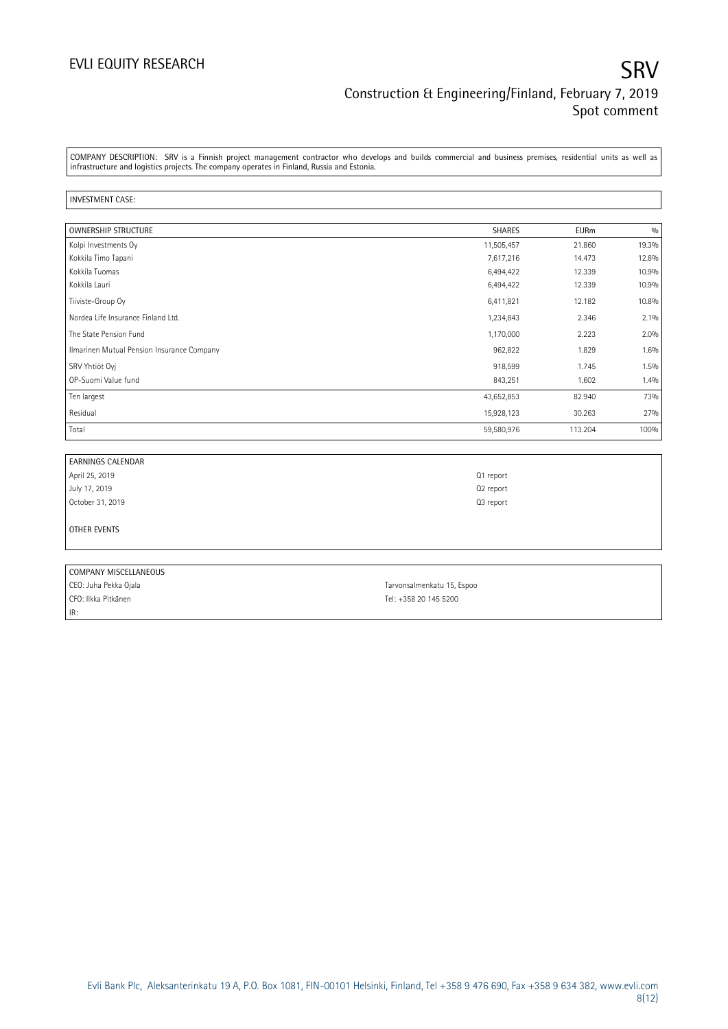### EVLI EQUITY RESEARCH SRV Construction & Engineering/Finland, February 7, 2019 Spot comment

COMPANY DESCRIPTION: SRV is a Finnish project management contractor who develops and builds commercial and business premises, residential units as well as infrastructure and logistics projects. The company operates in Finland, Russia and Estonia.

### INVESTMENT CASE:

| <b>OWNERSHIP STRUCTURE</b>                 | <b>SHARES</b> | <b>EURm</b> | 0/0   |
|--------------------------------------------|---------------|-------------|-------|
| Kolpi Investments Oy                       | 11,505,457    | 21.860      | 19.3% |
| Kokkila Timo Tapani                        | 7,617,216     | 14.473      | 12.8% |
| Kokkila Tuomas                             | 6,494,422     | 12.339      | 10.9% |
| Kokkila Lauri                              | 6,494,422     | 12.339      | 10.9% |
| Tiiviste-Group Oy                          | 6,411,821     | 12.182      | 10.8% |
| Nordea Life Insurance Finland Ltd.         | 1,234,843     | 2.346       | 2.1%  |
| The State Pension Fund                     | 1,170,000     | 2.223       | 2.0%  |
| Ilmarinen Mutual Pension Insurance Company | 962,822       | 1.829       | 1.6%  |
| SRV Yhtiöt Oyj                             | 918,599       | 1.745       | 1.5%  |
| OP-Suomi Value fund                        | 843,251       | 1.602       | 1.4%  |
| Ten largest                                | 43,652,853    | 82.940      | 73%   |
| Residual                                   | 15,928,123    | 30.263      | 27%   |
| Total                                      | 59,580,976    | 113.204     | 100%  |

| EARNINGS CALENDAR |                       |
|-------------------|-----------------------|
| April 25, 2019    | Q1 report             |
| July 17, 2019     | Q <sub>2</sub> report |
| October 31, 2019  | Q <sub>3</sub> report |
|                   |                       |
| OTHER EVENTS      |                       |

| COMPANY MISCELLANEOUS |                            |
|-----------------------|----------------------------|
| CEO: Juha Pekka Ojala | Tarvonsalmenkatu 15, Espoo |
| CFO: Ilkka Pitkänen   | Tel: +358 20 145 5200      |
| IR:                   |                            |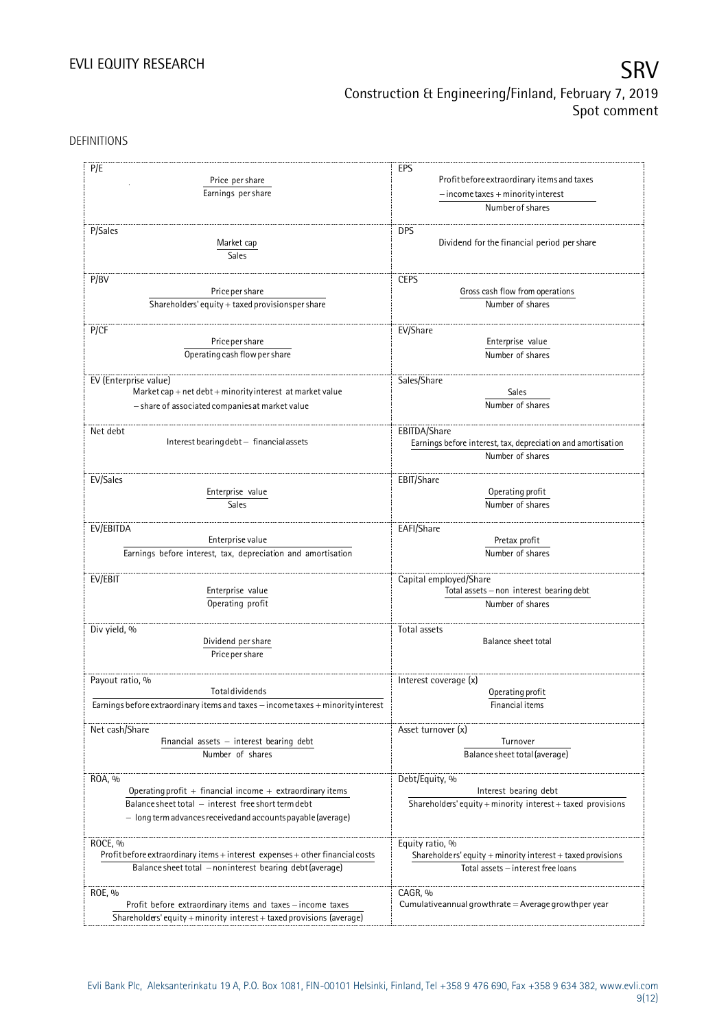DEFINITIONS

| P/E                                                                                                       | EPS                                                                                                     |  |  |
|-----------------------------------------------------------------------------------------------------------|---------------------------------------------------------------------------------------------------------|--|--|
| Price per share                                                                                           | Profit before extraordinary items and taxes<br>$-$ income taxes + minority interest<br>Number of shares |  |  |
| Earnings per share                                                                                        |                                                                                                         |  |  |
|                                                                                                           |                                                                                                         |  |  |
|                                                                                                           |                                                                                                         |  |  |
| P/Sales                                                                                                   | <b>DPS</b>                                                                                              |  |  |
| Market cap                                                                                                | Dividend for the financial period per share                                                             |  |  |
| Sales                                                                                                     |                                                                                                         |  |  |
|                                                                                                           |                                                                                                         |  |  |
| P/BV                                                                                                      | <b>CEPS</b>                                                                                             |  |  |
| Price per share                                                                                           | Gross cash flow from operations                                                                         |  |  |
|                                                                                                           | Number of shares                                                                                        |  |  |
| Shareholders' equity + taxed provisionsper share                                                          |                                                                                                         |  |  |
|                                                                                                           |                                                                                                         |  |  |
| P/CF                                                                                                      | EV/Share                                                                                                |  |  |
| Price per share                                                                                           | Enterprise value<br>Number of shares                                                                    |  |  |
| Operating cash flow per share                                                                             |                                                                                                         |  |  |
|                                                                                                           |                                                                                                         |  |  |
| EV (Enterprise value)                                                                                     | Sales/Share                                                                                             |  |  |
| $\textsf{Market cap} + \textsf{net debt} + \textsf{minority} \textsf{interest} \textsf{ at market value}$ | Sales                                                                                                   |  |  |
| - share of associated companies at market value                                                           | Number of shares                                                                                        |  |  |
|                                                                                                           |                                                                                                         |  |  |
| Net debt                                                                                                  | EBITDA/Share                                                                                            |  |  |
| Interest bearing debt - financial assets                                                                  | Earnings before interest, tax, depreciation and amortisation                                            |  |  |
|                                                                                                           |                                                                                                         |  |  |
|                                                                                                           | Number of shares                                                                                        |  |  |
| EV/Sales                                                                                                  | EBIT/Share                                                                                              |  |  |
|                                                                                                           |                                                                                                         |  |  |
| Enterprise value                                                                                          | Operating profit                                                                                        |  |  |
| Sales                                                                                                     | Number of shares                                                                                        |  |  |
| EV/EBITDA                                                                                                 | EAFI/Share                                                                                              |  |  |
|                                                                                                           | Pretax profit                                                                                           |  |  |
| Enterprise value                                                                                          |                                                                                                         |  |  |
| Earnings before interest, tax, depreciation and amortisation                                              | Number of shares                                                                                        |  |  |
|                                                                                                           |                                                                                                         |  |  |
| EV/EBIT                                                                                                   | Capital employed/Share                                                                                  |  |  |
| Enterprise value                                                                                          | Total assets - non interest bearing debt<br>Number of shares                                            |  |  |
| Operating profit                                                                                          |                                                                                                         |  |  |
|                                                                                                           |                                                                                                         |  |  |
| Div yield, %                                                                                              | Total assets                                                                                            |  |  |
| Dividend per share                                                                                        | Balance sheet total                                                                                     |  |  |
| Price per share                                                                                           |                                                                                                         |  |  |
|                                                                                                           |                                                                                                         |  |  |
| Payout ratio, %                                                                                           | Interest coverage (x)                                                                                   |  |  |
| <b>Total dividends</b>                                                                                    | Operating profit                                                                                        |  |  |
| Earnings before extraordinary items and taxes - income taxes + minority interest                          | Financial items                                                                                         |  |  |
|                                                                                                           |                                                                                                         |  |  |
| Net cash/Share                                                                                            | Asset turnover (x)                                                                                      |  |  |
| Financial assets $-$ interest bearing debt                                                                | Turnover                                                                                                |  |  |
| Number of shares                                                                                          | Balance sheet total (average)                                                                           |  |  |
|                                                                                                           |                                                                                                         |  |  |
| ROA, %                                                                                                    |                                                                                                         |  |  |
|                                                                                                           | Debt/Equity, %                                                                                          |  |  |
| Operating profit $+$ financial income $+$ extraordinary items                                             | Interest bearing debt                                                                                   |  |  |
| Balance sheet total - interest free short term debt                                                       | Shareholders' equity + minority interest + taxed provisions                                             |  |  |
| $-$ long term advances received and accounts payable (average)                                            |                                                                                                         |  |  |
|                                                                                                           |                                                                                                         |  |  |
| ROCE, %                                                                                                   | Equity ratio, %                                                                                         |  |  |
| Profit before extraordinary items + interest expenses + other financial costs                             | Shareholders' equity $+$ minority interest $+$ taxed provisions<br>Total assets - interest free loans   |  |  |
| Balance sheet total - noninterest bearing debt (average)                                                  |                                                                                                         |  |  |
|                                                                                                           |                                                                                                         |  |  |
| ROE, %                                                                                                    | CAGR, %                                                                                                 |  |  |
| Profit before extraordinary items and taxes - income taxes                                                | Cumulative annual growthrate $=$ Average growthper year                                                 |  |  |
| Shareholders' equity + minority interest + taxed provisions (average)                                     |                                                                                                         |  |  |
|                                                                                                           |                                                                                                         |  |  |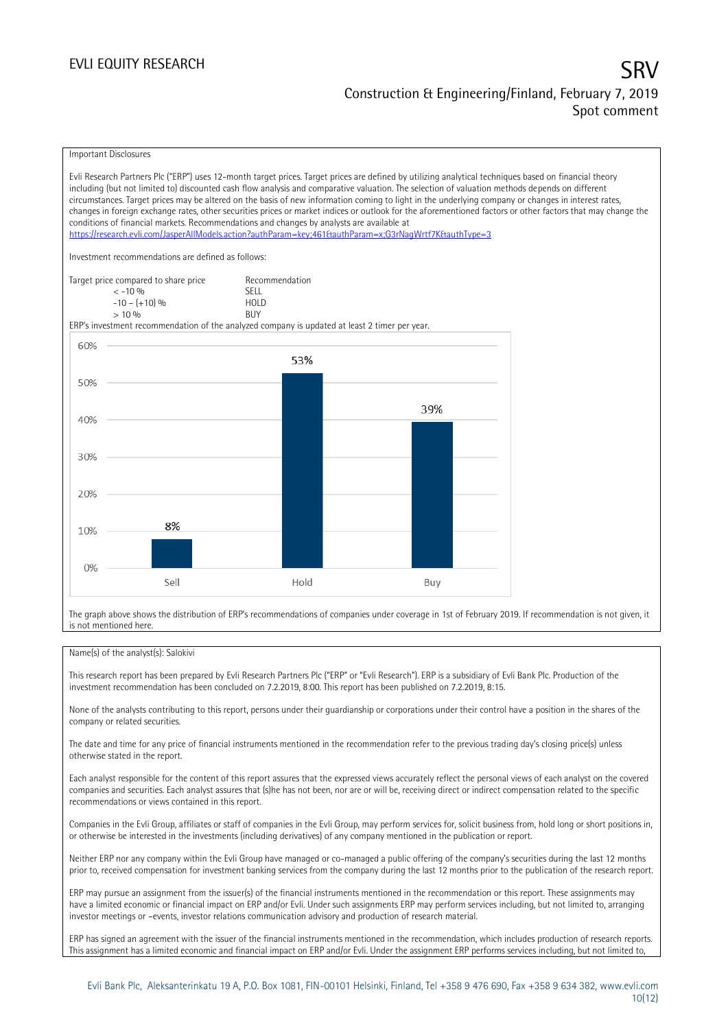### Important Disclosures

Evli Research Partners Plc ("ERP") uses 12-month target prices. Target prices are defined by utilizing analytical techniques based on financial theory including (but not limited to) discounted cash flow analysis and comparative valuation. The selection of valuation methods depends on different circumstances. Target prices may be altered on the basis of new information coming to light in the underlying company or changes in interest rates, changes in foreign exchange rates, other securities prices or market indices or outlook for the aforementioned factors or other factors that may change the conditions of financial markets. Recommendations and changes by analysts are available at <https://research.evli.com/JasperAllModels.action?authParam=key;461&authParam=x;G3rNagWrtf7K&authType=3> Investment recommendations are defined as follows: Target price compared to share price Recommendation<br>  $\leq 10\%$  $\langle 5, 10, 10 \rangle$  SELL<br>  $\langle -10, 1, 10 \rangle$   $\langle 6, 10 \rangle$   $\langle 10, 10 \rangle$  $-10 - (+10) \%$  HOL<br>  $> 10 \%$  RIJY  $> 10\%$ ERP's investment recommendation of the analyzed company is updated at least 2 timer per year. 60% 53% 50% 39% 40% 30% 20% 8% 10% 0% Sell Hold Buy

The graph above shows the distribution of ERP's recommendations of companies under coverage in 1st of February 2019. If recommendation is not given, it is not mentioned here.

### Name(s) of the analyst(s): Salokivi

This research report has been prepared by Evli Research Partners Plc ("ERP" or "Evli Research"). ERP is a subsidiary of Evli Bank Plc. Production of the investment recommendation has been concluded on 7.2.2019, 8:00. This report has been published on 7.2.2019, 8:15.

None of the analysts contributing to this report, persons under their guardianship or corporations under their control have a position in the shares of the company or related securities.

The date and time for any price of financial instruments mentioned in the recommendation refer to the previous trading day's closing price(s) unless otherwise stated in the report.

Each analyst responsible for the content of this report assures that the expressed views accurately reflect the personal views of each analyst on the covered companies and securities. Each analyst assures that (s)he has not been, nor are or will be, receiving direct or indirect compensation related to the specific recommendations or views contained in this report.

Companies in the Evli Group, affiliates or staff of companies in the Evli Group, may perform services for, solicit business from, hold long or short positions in, or otherwise be interested in the investments (including derivatives) of any company mentioned in the publication or report.

Neither ERP nor any company within the Evli Group have managed or co-managed a public offering of the company's securities during the last 12 months prior to, received compensation for investment banking services from the company during the last 12 months prior to the publication of the research report.

ERP may pursue an assignment from the issuer(s) of the financial instruments mentioned in the recommendation or this report. These assignments may have a limited economic or financial impact on ERP and/or Evli. Under such assignments ERP may perform services including, but not limited to, arranging investor meetings or –events, investor relations communication advisory and production of research material.

ERP has signed an agreement with the issuer of the financial instruments mentioned in the recommendation, which includes production of research reports. This assignment has a limited economic and financial impact on ERP and/or Evli. Under the assignment ERP performs services including, but not limited to,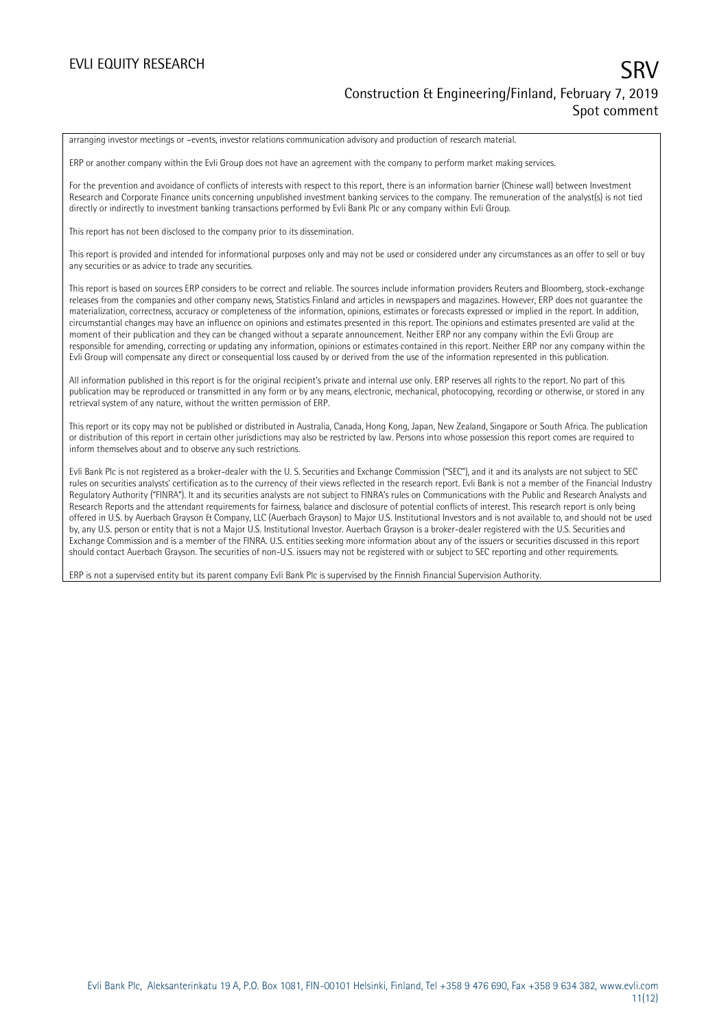arranging investor meetings or –events, investor relations communication advisory and production of research material.

ERP or another company within the Evli Group does not have an agreement with the company to perform market making services.

For the prevention and avoidance of conflicts of interests with respect to this report, there is an information barrier (Chinese wall) between Investment Research and Corporate Finance units concerning unpublished investment banking services to the company. The remuneration of the analyst(s) is not tied directly or indirectly to investment banking transactions performed by Evli Bank Plc or any company within Evli Group.

This report has not been disclosed to the company prior to its dissemination.

This report is provided and intended for informational purposes only and may not be used or considered under any circumstances as an offer to sell or buy any securities or as advice to trade any securities.

This report is based on sources ERP considers to be correct and reliable. The sources include information providers Reuters and Bloomberg, stock-exchange releases from the companies and other company news, Statistics Finland and articles in newspapers and magazines. However, ERP does not guarantee the materialization, correctness, accuracy or completeness of the information, opinions, estimates or forecasts expressed or implied in the report. In addition, circumstantial changes may have an influence on opinions and estimates presented in this report. The opinions and estimates presented are valid at the moment of their publication and they can be changed without a separate announcement. Neither ERP nor any company within the Evli Group are responsible for amending, correcting or updating any information, opinions or estimates contained in this report. Neither ERP nor any company within the Evli Group will compensate any direct or consequential loss caused by or derived from the use of the information represented in this publication.

All information published in this report is for the original recipient's private and internal use only. ERP reserves all rights to the report. No part of this publication may be reproduced or transmitted in any form or by any means, electronic, mechanical, photocopying, recording or otherwise, or stored in any retrieval system of any nature, without the written permission of ERP.

This report or its copy may not be published or distributed in Australia, Canada, Hong Kong, Japan, New Zealand, Singapore or South Africa. The publication or distribution of this report in certain other jurisdictions may also be restricted by law. Persons into whose possession this report comes are required to inform themselves about and to observe any such restrictions.

Evli Bank Plc is not registered as a broker-dealer with the U. S. Securities and Exchange Commission ("SEC"), and it and its analysts are not subject to SEC rules on securities analysts' certification as to the currency of their views reflected in the research report. Evli Bank is not a member of the Financial Industry Regulatory Authority ("FINRA"). It and its securities analysts are not subject to FINRA's rules on Communications with the Public and Research Analysts and Research Reports and the attendant requirements for fairness, balance and disclosure of potential conflicts of interest. This research report is only being offered in U.S. by Auerbach Grayson & Company, LLC (Auerbach Grayson) to Major U.S. Institutional Investors and is not available to, and should not be used by, any U.S. person or entity that is not a Major U.S. Institutional Investor. Auerbach Grayson is a broker-dealer registered with the U.S. Securities and Exchange Commission and is a member of the FINRA. U.S. entities seeking more information about any of the issuers or securities discussed in this report should contact Auerbach Grayson. The securities of non-U.S. issuers may not be registered with or subject to SEC reporting and other requirements.

ERP is not a supervised entity but its parent company Evli Bank Plc is supervised by the Finnish Financial Supervision Authority.